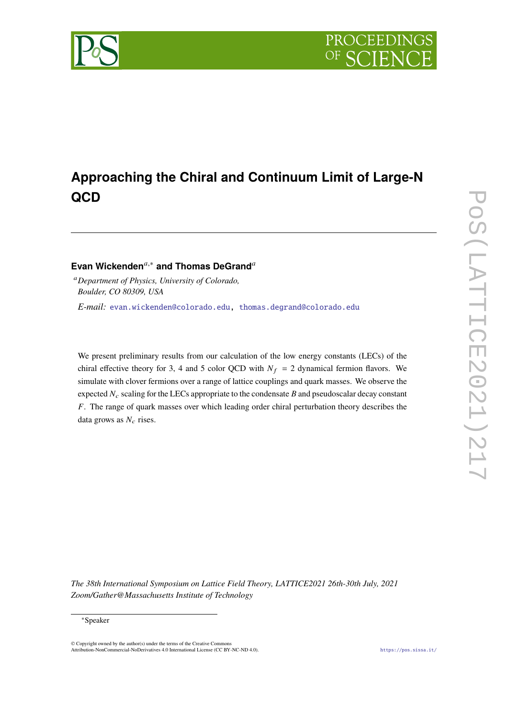

# **Approaching the Chiral and Continuum Limit of Large-N QCD**

# **Evan Wickenden**<sup>*a*,∗</sup> and Thomas DeGrand<sup>*a*</sup>

<sup>𝑎</sup>*Department of Physics, University of Colorado, Boulder, CO 80309, USA*

*E-mail:* [evan.wickenden@colorado.edu,](mailto:evan.wickenden@colorado.edu) [thomas.degrand@colorado.edu](mailto:thomas.degrand@colorado.edu)

We present preliminary results from our calculation of the low energy constants (LECs) of the chiral effective theory for 3, 4 and 5 color QCD with  $N_f = 2$  dynamical fermion flavors. We simulate with clover fermions over a range of lattice couplings and quark masses. We observe the expected  $N_c$  scaling for the LECs appropriate to the condensate  $B$  and pseudoscalar decay constant F. The range of quark masses over which leading order chiral perturbation theory describes the data grows as  $N_c$  rises.

*The 38th International Symposium on Lattice Field Theory, LATTICE2021 26th-30th July, 2021 Zoom/Gather@Massachusetts Institute of Technology*

<sup>∗</sup>Speaker

<sup>©</sup> Copyright owned by the author(s) under the terms of the Creative Commons Attribution-NonCommercial-NoDerivatives 4.0 International License (CC BY-NC-ND 4.0). <https://pos.sissa.it/>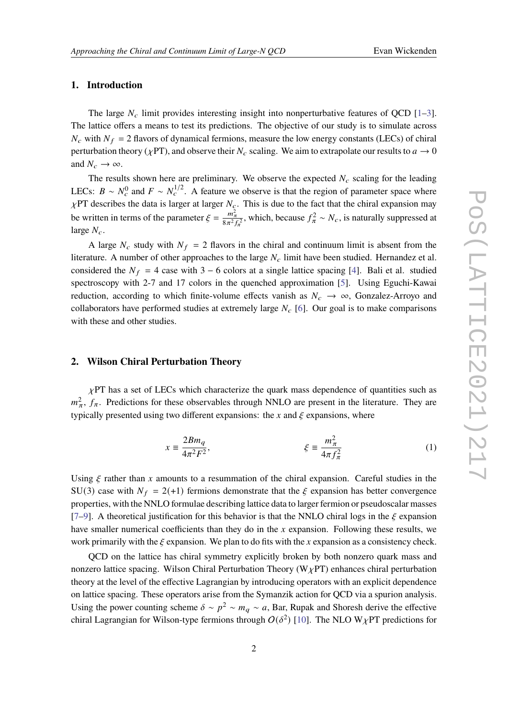# **1. Introduction**

The large  $N_c$  limit provides interesting insight into nonperturbative features of QCD [\[1–](#page-5-0)[3\]](#page-6-0). The lattice offers a means to test its predictions. The objective of our study is to simulate across  $N_c$  with  $N_f = 2$  flavors of dynamical fermions, measure the low energy constants (LECs) of chiral perturbation theory ( $\chi$ PT), and observe their  $N_c$  scaling. We aim to extrapolate our results to  $a \to 0$ and  $N_c \rightarrow \infty$ .

The results shown here are preliminary. We observe the expected  $N_c$  scaling for the leading LECs:  $B \sim N_c^0$  and  $F \sim N_c^{1/2}$ . A feature we observe is that the region of parameter space where  $\chi$ PT describes the data is larger at larger  $N_c$ . This is due to the fact that the chiral expansion may be written in terms of the parameter  $\xi = \frac{m_{\pi}^2}{8\pi^2 f_{\pi}^2}$ , which, because  $f_{\pi}^2 \sim N_c$ , is naturally suppressed at large  $N_c$ .

A large  $N_c$  study with  $N_f = 2$  flavors in the chiral and continuum limit is absent from the literature. A number of other approaches to the large  $N_c$  limit have been studied. Hernandez et al. considered the  $N_f = 4$  case with 3 – 6 colors at a single lattice spacing [\[4\]](#page-6-1). Bali et al. studied spectroscopy with 2-7 and 17 colors in the quenched approximation [\[5\]](#page-6-2). Using Eguchi-Kawai reduction, according to which finite-volume effects vanish as  $N_c \rightarrow \infty$ , Gonzalez-Arroyo and collaborators have performed studies at extremely large  $N_c$  [\[6\]](#page-6-3). Our goal is to make comparisons with these and other studies.

## **2. Wilson Chiral Perturbation Theory**

 $\chi$ PT has a set of LECs which characterize the quark mass dependence of quantities such as  $m_{\pi}^2$ ,  $f_{\pi}$ . Predictions for these observables through NNLO are present in the literature. They are typically presented using two different expansions: the x and  $\xi$  expansions, where

$$
x \equiv \frac{2Bm_q}{4\pi^2 F^2}, \qquad \xi \equiv \frac{m_\pi^2}{4\pi f_\pi^2} \tag{1}
$$

Using  $\xi$  rather than x amounts to a resummation of the chiral expansion. Careful studies in the SU(3) case with  $N_f = 2(+1)$  fermions demonstrate that the  $\xi$  expansion has better convergence properties, with the NNLO formulae describing lattice data to larger fermion or pseudoscalar masses [\[7](#page-6-4)[–9\]](#page-6-5). A theoretical justification for this behavior is that the NNLO chiral logs in the  $\xi$  expansion have smaller numerical coefficients than they do in the x expansion. Following these results, we work primarily with the  $\xi$  expansion. We plan to do fits with the x expansion as a consistency check.

QCD on the lattice has chiral symmetry explicitly broken by both nonzero quark mass and nonzero lattice spacing. Wilson Chiral Perturbation Theory ( $W_{\chi}$ PT) enhances chiral perturbation theory at the level of the effective Lagrangian by introducing operators with an explicit dependence on lattice spacing. These operators arise from the Symanzik action for QCD via a spurion analysis. Using the power counting scheme  $\delta \sim p^2 \sim m_q \sim a$ , Bar, Rupak and Shoresh derive the effective chiral Lagrangian for Wilson-type fermions through  $O(\delta^2)$  [\[10\]](#page-6-6). The NLO W<sub>X</sub>PT predictions for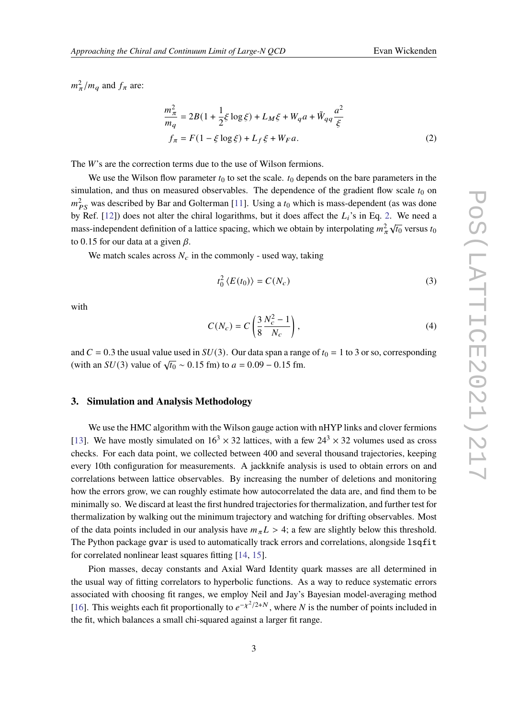$m_{\pi}^2/m_q$  and  $f_{\pi}$  are:

$$
\frac{m_{\pi}^{2}}{m_{q}} = 2B(1 + \frac{1}{2}\xi \log \xi) + L_{M}\xi + W_{q}a + \tilde{W}_{qq}\frac{a^{2}}{\xi}
$$
  

$$
f_{\pi} = F(1 - \xi \log \xi) + L_{f}\xi + W_{F}a.
$$
 (2)

The  $W$ 's are the correction terms due to the use of Wilson fermions.

We use the Wilson flow parameter  $t_0$  to set the scale.  $t_0$  depends on the bare parameters in the simulation, and thus on measured observables. The dependence of the gradient flow scale  $t_0$  on  $m_{PS}^2$  was described by Bar and Golterman [\[11\]](#page-6-7). Using a  $t_0$  which is mass-dependent (as was done by Ref. [\[12\]](#page-6-8)) does not alter the chiral logarithms, but it does affect the  $L_i$ 's in Eq. [2.](#page-2-0) We need a mass-independent definition of a lattice spacing, which we obtain by interpolating  $m_\pi^2 \sqrt{t_0}$  versus  $t_0$ to 0.15 for our data at a given  $\beta$ .

We match scales across  $N_c$  in the commonly - used way, taking

<span id="page-2-0"></span>
$$
t_0^2 \langle E(t_0) \rangle = C(N_c) \tag{3}
$$

with

$$
C(N_c) = C\left(\frac{3}{8}\frac{N_c^2 - 1}{N_c}\right),\tag{4}
$$

and  $C = 0.3$  the usual value used in  $SU(3)$ . Our data span a range of  $t_0 = 1$  to 3 or so, corresponding (with an  $SU(3)$  value of  $\sqrt{t_0} \sim 0.15$  fm) to  $a = 0.09 - 0.15$  fm.

## **3. Simulation and Analysis Methodology**

We use the HMC algorithm with the Wilson gauge action with nHYP links and clover fermions [\[13\]](#page-6-9). We have mostly simulated on  $16<sup>3</sup> \times 32$  lattices, with a few  $24<sup>3</sup> \times 32$  volumes used as cross checks. For each data point, we collected between 400 and several thousand trajectories, keeping every 10th configuration for measurements. A jackknife analysis is used to obtain errors on and correlations between lattice observables. By increasing the number of deletions and monitoring how the errors grow, we can roughly estimate how autocorrelated the data are, and find them to be minimally so. We discard at least the first hundred trajectories for thermalization, and further test for thermalization by walking out the minimum trajectory and watching for drifting observables. Most of the data points included in our analysis have  $m_{\pi}L > 4$ ; a few are slightly below this threshold. The Python package gvar is used to automatically track errors and correlations, alongside lsqfit for correlated nonlinear least squares fitting [\[14,](#page-6-10) [15\]](#page-6-11).

Pion masses, decay constants and Axial Ward Identity quark masses are all determined in the usual way of fitting correlators to hyperbolic functions. As a way to reduce systematic errors associated with choosing fit ranges, we employ Neil and Jay's Bayesian model-averaging method [\[16\]](#page-6-12). This weights each fit proportionally to  $e^{-\chi^2/2+N}$ , where N is the number of points included in the fit, which balances a small chi-squared against a larger fit range.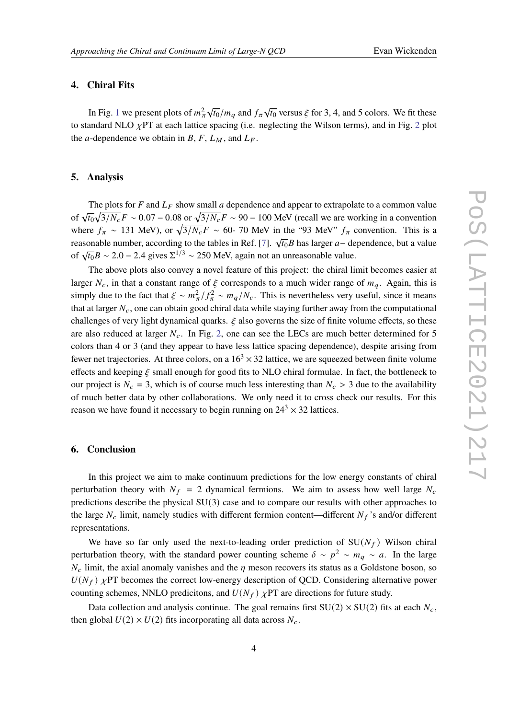# **4. Chiral Fits**

In Fig. [1](#page-4-0) we present plots of  $m_\pi^2$  $\sqrt{t_0}/m_q$  and  $f_\pi \sqrt{t_0}$  versus  $\xi$  for 3, 4, and 5 colors. We fit these to standard NLO  $\chi$ PT at each lattice spacing (i.e. neglecting the Wilson terms), and in Fig. [2](#page-5-1) plot the *a*-dependence we obtain in B, F,  $L_M$ , and  $L_F$ .

### **5. Analysis**

The plots for  $F$  and  $L_F$  show small a dependence and appear to extrapolate to a common value of  $\sqrt{t_0} \sqrt{3/N_c} F \sim 0.07 - 0.08$  or  $\sqrt{3/N_c} F \sim 90 - 100$  MeV (recall we are working in a convention where  $f_{\pi} \sim 131$  MeV), or  $\sqrt{3/N_c}F \sim 60$ - 70 MeV in the "93 MeV"  $f_{\pi}$  convention. This is a reasonable number, according to the tables in Ref. [\[7\]](#page-6-4).  $\sqrt{t_0}B$  has larger  $a-$  dependence, but a value of  $\sqrt{t_0}B \sim 2.0 - 2.4$  gives  $\Sigma^{1/3} \sim 250$  MeV, again not an unreasonable value.

The above plots also convey a novel feature of this project: the chiral limit becomes easier at larger  $N_c$ , in that a constant range of  $\xi$  corresponds to a much wider range of  $m_q$ . Again, this is simply due to the fact that  $\xi \sim m_{\pi}^2/f_{\pi}^2 \sim m_q/N_c$ . This is nevertheless very useful, since it means that at larger  $N_c$ , one can obtain good chiral data while staying further away from the computational challenges of very light dynamical quarks.  $\xi$  also governs the size of finite volume effects, so these are also reduced at larger  $N_c$ . In Fig. [2,](#page-5-1) one can see the LECs are much better determined for 5 colors than 4 or 3 (and they appear to have less lattice spacing dependence), despite arising from fewer net trajectories. At three colors, on a  $16<sup>3</sup> \times 32$  lattice, we are squeezed between finite volume effects and keeping  $\xi$  small enough for good fits to NLO chiral formulae. In fact, the bottleneck to our project is  $N_c = 3$ , which is of course much less interesting than  $N_c > 3$  due to the availability of much better data by other collaborations. We only need it to cross check our results. For this reason we have found it necessary to begin running on  $24^3 \times 32$  lattices.

#### **6. Conclusion**

In this project we aim to make continuum predictions for the low energy constants of chiral perturbation theory with  $N_f = 2$  dynamical fermions. We aim to assess how well large  $N_c$ predictions describe the physical SU(3) case and to compare our results with other approaches to the large  $N_c$  limit, namely studies with different fermion content—different  $N_f$ 's and/or different representations.

We have so far only used the next-to-leading order prediction of  $SU(N_f)$  Wilson chiral perturbation theory, with the standard power counting scheme  $\delta \sim p^2 \sim m_q \sim a$ . In the large  $N_c$  limit, the axial anomaly vanishes and the  $\eta$  meson recovers its status as a Goldstone boson, so  $U(N_f)$   $\chi$ PT becomes the correct low-energy description of QCD. Considering alternative power counting schemes, NNLO predicitons, and  $U(N_f)$   $\chi$ PT are directions for future study.

Data collection and analysis continue. The goal remains first  $SU(2) \times SU(2)$  fits at each  $N_c$ , then global  $U(2) \times U(2)$  fits incorporating all data across  $N_c$ .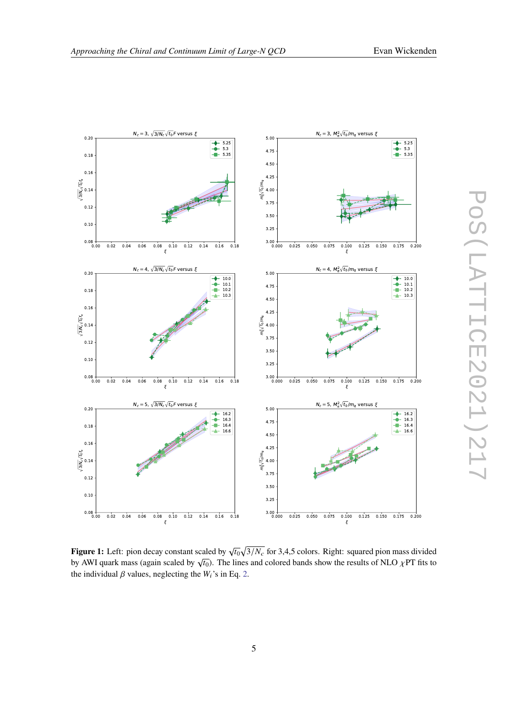<span id="page-4-0"></span>

**Figure 1:** Left: pion decay constant scaled by  $\sqrt{t_0}\sqrt{3/N_c}$  for 3,4,5 colors. Right: squared pion mass divided by AWI quark mass (again scaled by  $\sqrt{t_0}$ ). The lines and colored bands show the results of NLO  $\chi$ PT fits to by AWI quark mass (again scaled by  $\sqrt{t_0}$ ). The lines and colored bands show the results of NLO  $\chi$ PT f the individual  $\beta$  values, neglecting the  $W_i$ 's in Eq. [2.](#page-2-0)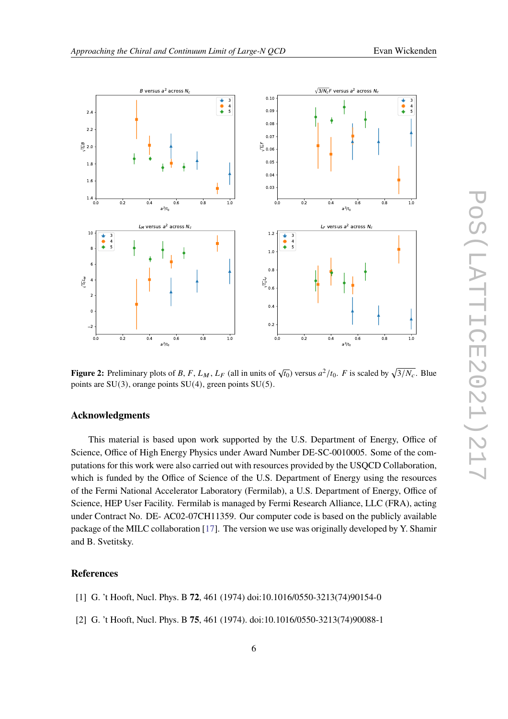<span id="page-5-1"></span>

**Figure 2:** Preliminary plots of B, F,  $L_M$ ,  $L_F$  (all in units of  $\sqrt{t_0}$ ) versus  $a^2/t_0$ . F is scaled by  $\sqrt{3/N_c}$ . Blue points are SU(3), orange points SU(4), green points SU(5).

# **Acknowledgments**

This material is based upon work supported by the U.S. Department of Energy, Office of Science, Office of High Energy Physics under Award Number DE-SC-0010005. Some of the computations for this work were also carried out with resources provided by the USQCD Collaboration, which is funded by the Office of Science of the U.S. Department of Energy using the resources of the Fermi National Accelerator Laboratory (Fermilab), a U.S. Department of Energy, Office of Science, HEP User Facility. Fermilab is managed by Fermi Research Alliance, LLC (FRA), acting under Contract No. DE- AC02-07CH11359. Our computer code is based on the publicly available package of the MILC collaboration [\[17\]](#page-6-13). The version we use was originally developed by Y. Shamir and B. Svetitsky.

# **References**

- <span id="page-5-0"></span>[1] G. 't Hooft, Nucl. Phys. B **72**, 461 (1974) doi:10.1016/0550-3213(74)90154-0
- [2] G. 't Hooft, Nucl. Phys. B **75**, 461 (1974). doi:10.1016/0550-3213(74)90088-1